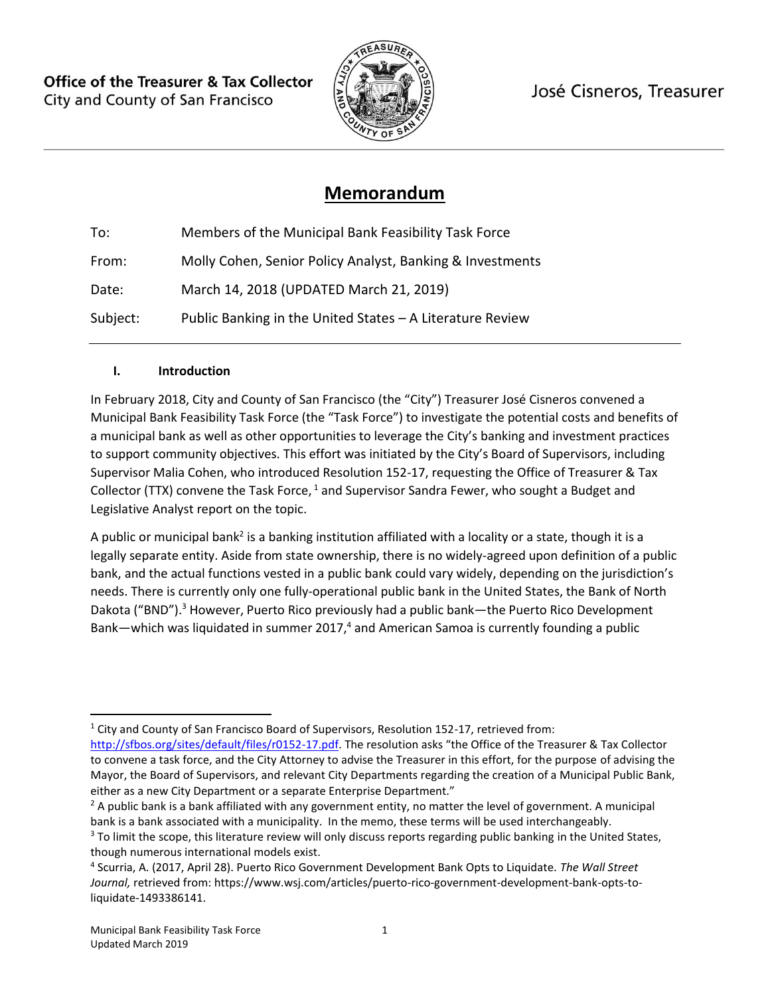**Office of the Treasurer & Tax Collector** City and County of San Francisco



José Cisneros, Treasurer

# **Memorandum**

To: Members of the Municipal Bank Feasibility Task Force From: Molly Cohen, Senior Policy Analyst, Banking & Investments Date: March 14, 2018 (UPDATED March 21, 2019) Subject: Public Banking in the United States – A Literature Review

#### **I. Introduction**

In February 2018, City and County of San Francisco (the "City") Treasurer José Cisneros convened a Municipal Bank Feasibility Task Force (the "Task Force") to investigate the potential costs and benefits of a municipal bank as well as other opportunities to leverage the City's banking and investment practices to support community objectives. This effort was initiated by the City's Board of Supervisors, including Supervisor Malia Cohen, who introduced Resolution 152-17, requesting the Office of Treasurer & Tax Collector (TTX) convene the Task Force,  $1$  and Supervisor Sandra Fewer, who sought a Budget and Legislative Analyst report on the topic.

A public or municipal bank<sup>2</sup> is a banking institution affiliated with a locality or a state, though it is a legally separate entity. Aside from state ownership, there is no widely-agreed upon definition of a public bank, and the actual functions vested in a public bank could vary widely, depending on the jurisdiction's needs. There is currently only one fully-operational public bank in the United States, the Bank of North Dakota ("BND").<sup>3</sup> However, Puerto Rico previously had a public bank—the Puerto Rico Development Bank—which was liquidated in summer 2017,<sup>4</sup> and American Samoa is currently founding a public

<sup>1</sup> City and County of San Francisco Board of Supervisors, Resolution 152-17, retrieved from:

<http://sfbos.org/sites/default/files/r0152-17.pdf>. The resolution asks "the Office of the Treasurer & Tax Collector to convene a task force, and the City Attorney to advise the Treasurer in this effort, for the purpose of advising the Mayor, the Board of Supervisors, and relevant City Departments regarding the creation of a Municipal Public Bank, either as a new City Department or a separate Enterprise Department."

<sup>&</sup>lt;sup>2</sup> A public bank is a bank affiliated with any government entity, no matter the level of government. A municipal bank is a bank associated with a municipality. In the memo, these terms will be used interchangeably.

<sup>&</sup>lt;sup>3</sup> To limit the scope, this literature review will only discuss reports regarding public banking in the United States, though numerous international models exist.

<sup>4</sup> Scurria, A. (2017, April 28). Puerto Rico Government Development Bank Opts to Liquidate. *The Wall Street Journal,* retrieved from: https://www.wsj.com/articles/puerto-rico-government-development-bank-opts-toliquidate-1493386141.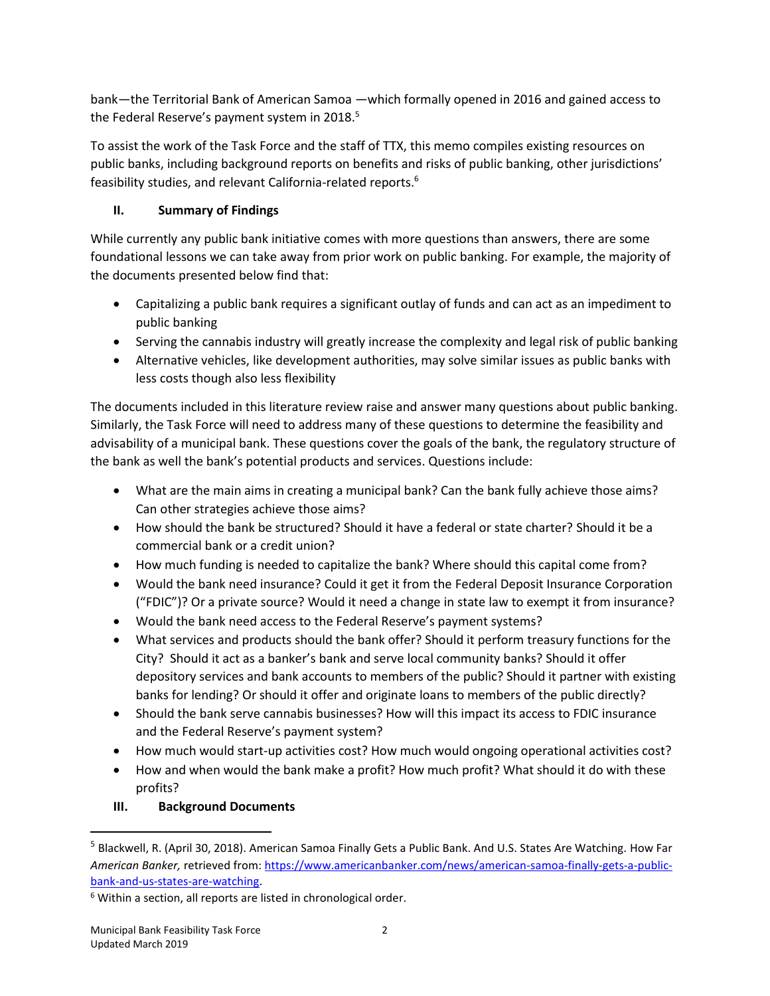bank—the Territorial Bank of American Samoa —which formally opened in 2016 and gained access to the Federal Reserve's payment system in 2018.<sup>5</sup>

To assist the work of the Task Force and the staff of TTX, this memo compiles existing resources on public banks, including background reports on benefits and risks of public banking, other jurisdictions' feasibility studies, and relevant California-related reports. 6

# **II. Summary of Findings**

While currently any public bank initiative comes with more questions than answers, there are some foundational lessons we can take away from prior work on public banking. For example, the majority of the documents presented below find that:

- Capitalizing a public bank requires a significant outlay of funds and can act as an impediment to public banking
- Serving the cannabis industry will greatly increase the complexity and legal risk of public banking
- Alternative vehicles, like development authorities, may solve similar issues as public banks with less costs though also less flexibility

The documents included in this literature review raise and answer many questions about public banking. Similarly, the Task Force will need to address many of these questions to determine the feasibility and advisability of a municipal bank. These questions cover the goals of the bank, the regulatory structure of the bank as well the bank's potential products and services. Questions include:

- What are the main aims in creating a municipal bank? Can the bank fully achieve those aims? Can other strategies achieve those aims?
- How should the bank be structured? Should it have a federal or state charter? Should it be a commercial bank or a credit union?
- How much funding is needed to capitalize the bank? Where should this capital come from?
- Would the bank need insurance? Could it get it from the Federal Deposit Insurance Corporation ("FDIC")? Or a private source? Would it need a change in state law to exempt it from insurance?
- Would the bank need access to the Federal Reserve's payment systems?
- What services and products should the bank offer? Should it perform treasury functions for the City? Should it act as a banker's bank and serve local community banks? Should it offer depository services and bank accounts to members of the public? Should it partner with existing banks for lending? Or should it offer and originate loans to members of the public directly?
- Should the bank serve cannabis businesses? How will this impact its access to FDIC insurance and the Federal Reserve's payment system?
- How much would start-up activities cost? How much would ongoing operational activities cost?
- How and when would the bank make a profit? How much profit? What should it do with these profits?

# **III. Background Documents**

<sup>5</sup> Blackwell, R. (April 30, 2018). American Samoa Finally Gets a Public Bank. And U.S. States Are Watching. How Far *American Banker,* retrieved from: [https://www.americanbanker.com/news/american-samoa-finally-gets-a-public](https://www.americanbanker.com/news/american-samoa-finally-gets-a-public-bank-and-us-states-are-watching)[bank-and-us-states-are-watching.](https://www.americanbanker.com/news/american-samoa-finally-gets-a-public-bank-and-us-states-are-watching)

<sup>&</sup>lt;sup>6</sup> Within a section, all reports are listed in chronological order.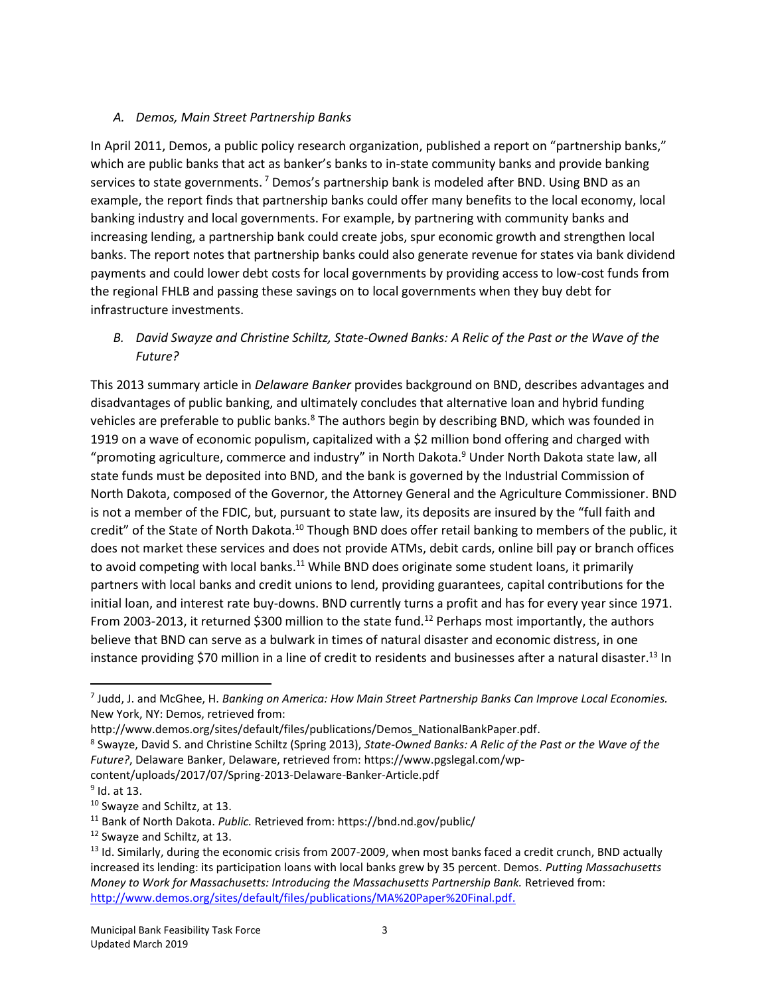#### *A. Demos, Main Street Partnership Banks*

In April 2011, Demos, a public policy research organization, published a report on "partnership banks," which are public banks that act as banker's banks to in-state community banks and provide banking services to state governments.<sup>7</sup> Demos's partnership bank is modeled after BND. Using BND as an example, the report finds that partnership banks could offer many benefits to the local economy, local banking industry and local governments. For example, by partnering with community banks and increasing lending, a partnership bank could create jobs, spur economic growth and strengthen local banks. The report notes that partnership banks could also generate revenue for states via bank dividend payments and could lower debt costs for local governments by providing access to low-cost funds from the regional FHLB and passing these savings on to local governments when they buy debt for infrastructure investments.

## *B. David Swayze and Christine Schiltz, State-Owned Banks: A Relic of the Past or the Wave of the Future?*

This 2013 summary article in *Delaware Banker* provides background on BND, describes advantages and disadvantages of public banking, and ultimately concludes that alternative loan and hybrid funding vehicles are preferable to public banks.<sup>8</sup> The authors begin by describing BND, which was founded in 1919 on a wave of economic populism, capitalized with a \$2 million bond offering and charged with "promoting agriculture, commerce and industry" in North Dakota.<sup>9</sup> Under North Dakota state law, all state funds must be deposited into BND, and the bank is governed by the Industrial Commission of North Dakota, composed of the Governor, the Attorney General and the Agriculture Commissioner. BND is not a member of the FDIC, but, pursuant to state law, its deposits are insured by the "full faith and credit" of the State of North Dakota.<sup>10</sup> Though BND does offer retail banking to members of the public, it does not market these services and does not provide ATMs, debit cards, online bill pay or branch offices to avoid competing with local banks.<sup>11</sup> While BND does originate some student loans, it primarily partners with local banks and credit unions to lend, providing guarantees, capital contributions for the initial loan, and interest rate buy-downs. BND currently turns a profit and has for every year since 1971. From 2003-2013, it returned \$300 million to the state fund.<sup>12</sup> Perhaps most importantly, the authors believe that BND can serve as a bulwark in times of natural disaster and economic distress, in one instance providing \$70 million in a line of credit to residents and businesses after a natural disaster.<sup>13</sup> In

content/uploads/2017/07/Spring-2013-Delaware-Banker-Article.pdf

 $^9$  Id. at 13.

<sup>7</sup> Judd, J. and McGhee, H. *Banking on America: How Main Street Partnership Banks Can Improve Local Economies.*  New York, NY: Demos, retrieved from:

http://www.demos.org/sites/default/files/publications/Demos\_NationalBankPaper.pdf.

<sup>8</sup> Swayze, David S. and Christine Schiltz (Spring 2013), *State-Owned Banks: A Relic of the Past or the Wave of the Future?*, Delaware Banker, Delaware, retrieved from: https://www.pgslegal.com/wp-

<sup>10</sup> Swayze and Schiltz, at 13.

<sup>11</sup> Bank of North Dakota. *Public.* Retrieved from: https://bnd.nd.gov/public/

<sup>12</sup> Swayze and Schiltz, at 13.

 $<sup>13</sup>$  Id. Similarly, during the economic crisis from 2007-2009, when most banks faced a credit crunch, BND actually</sup> increased its lending: its participation loans with local banks grew by 35 percent. Demos. *Putting Massachusetts Money to Work for Massachusetts: Introducing the Massachusetts Partnership Bank.* Retrieved from: [http://www.demos.org/sites/default/files/publications/MA%20Paper%20Final.pdf.](http://www.demos.org/sites/default/files/publications/MA%20Paper%20Final.pdf)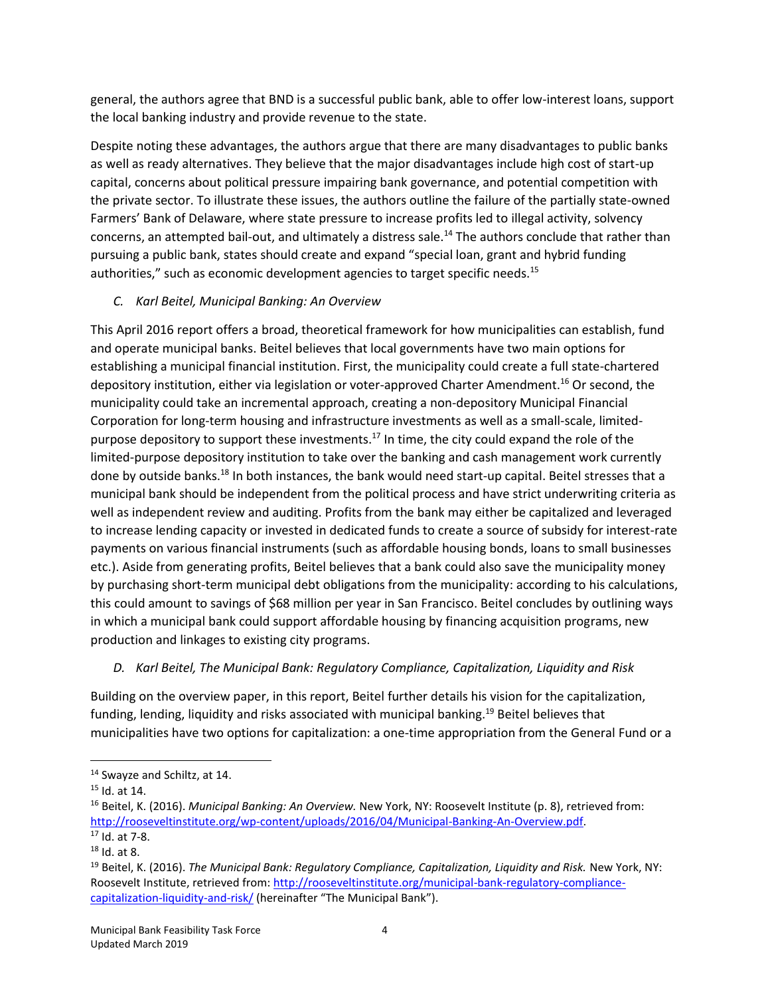general, the authors agree that BND is a successful public bank, able to offer low-interest loans, support the local banking industry and provide revenue to the state.

Despite noting these advantages, the authors argue that there are many disadvantages to public banks as well as ready alternatives. They believe that the major disadvantages include high cost of start-up capital, concerns about political pressure impairing bank governance, and potential competition with the private sector. To illustrate these issues, the authors outline the failure of the partially state-owned Farmers' Bank of Delaware, where state pressure to increase profits led to illegal activity, solvency concerns, an attempted bail-out, and ultimately a distress sale.<sup>14</sup> The authors conclude that rather than pursuing a public bank, states should create and expand "special loan, grant and hybrid funding authorities," such as economic development agencies to target specific needs.<sup>15</sup>

#### *C. Karl Beitel, Municipal Banking: An Overview*

This April 2016 report offers a broad, theoretical framework for how municipalities can establish, fund and operate municipal banks. Beitel believes that local governments have two main options for establishing a municipal financial institution. First, the municipality could create a full state-chartered depository institution, either via legislation or voter-approved Charter Amendment.<sup>16</sup> Or second, the municipality could take an incremental approach, creating a non-depository Municipal Financial Corporation for long-term housing and infrastructure investments as well as a small-scale, limitedpurpose depository to support these investments.<sup>17</sup> In time, the city could expand the role of the limited-purpose depository institution to take over the banking and cash management work currently done by outside banks.<sup>18</sup> In both instances, the bank would need start-up capital. Beitel stresses that a municipal bank should be independent from the political process and have strict underwriting criteria as well as independent review and auditing. Profits from the bank may either be capitalized and leveraged to increase lending capacity or invested in dedicated funds to create a source of subsidy for interest-rate payments on various financial instruments (such as affordable housing bonds, loans to small businesses etc.). Aside from generating profits, Beitel believes that a bank could also save the municipality money by purchasing short-term municipal debt obligations from the municipality: according to his calculations, this could amount to savings of \$68 million per year in San Francisco. Beitel concludes by outlining ways in which a municipal bank could support affordable housing by financing acquisition programs, new production and linkages to existing city programs.

#### *D. Karl Beitel, The Municipal Bank: Regulatory Compliance, Capitalization, Liquidity and Risk*

Building on the overview paper, in this report, Beitel further details his vision for the capitalization, funding, lending, liquidity and risks associated with municipal banking. <sup>19</sup> Beitel believes that municipalities have two options for capitalization: a one-time appropriation from the General Fund or a

<sup>&</sup>lt;sup>14</sup> Swayze and Schiltz, at 14.

<sup>15</sup> Id. at 14.

<sup>16</sup> Beitel, K. (2016). *Municipal Banking: An Overview.* New York, NY: Roosevelt Institute (p. 8), retrieved from: [http://rooseveltinstitute.org/wp-content/uploads/2016/04/Municipal-Banking-An-Overview.pdf.](http://rooseveltinstitute.org/wp-content/uploads/2016/04/Municipal-Banking-An-Overview.pdf)

<sup>17</sup> Id. at 7-8.

 $18$  Id. at 8.

<sup>19</sup> Beitel, K. (2016). *The Municipal Bank: Regulatory Compliance, Capitalization, Liquidity and Risk.* New York, NY: Roosevelt Institute, retrieved from[: http://rooseveltinstitute.org/municipal-bank-regulatory-compliance](http://rooseveltinstitute.org/municipal-bank-regulatory-compliance-capitalization-liquidity-and-risk/)[capitalization-liquidity-and-risk/](http://rooseveltinstitute.org/municipal-bank-regulatory-compliance-capitalization-liquidity-and-risk/) (hereinafter "The Municipal Bank").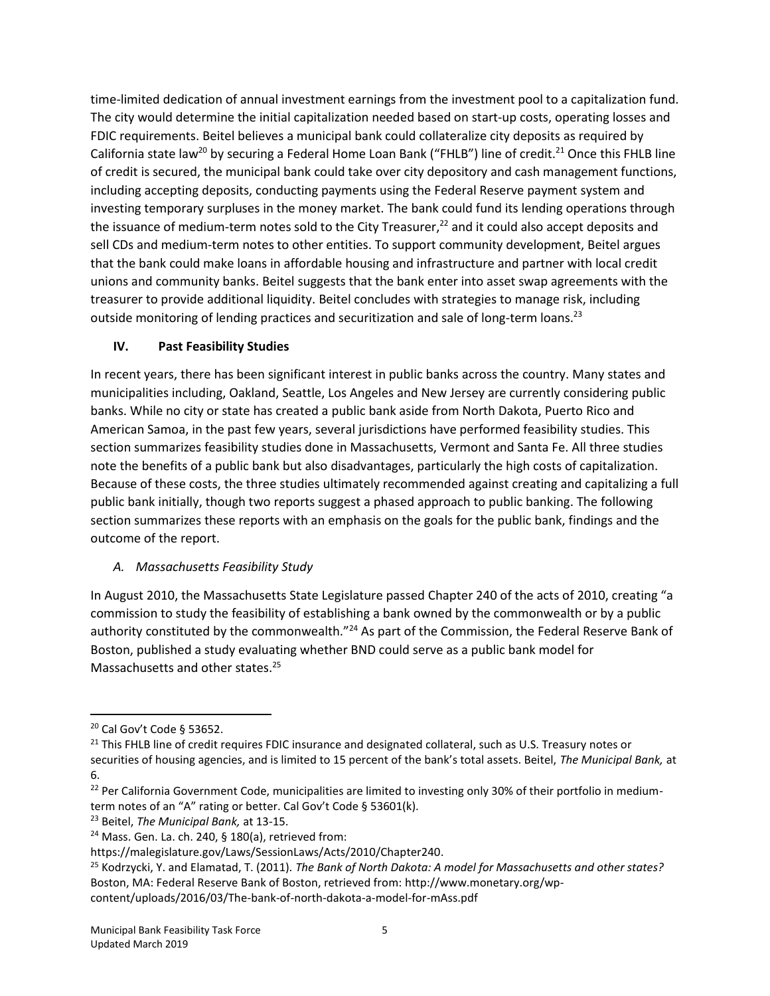time-limited dedication of annual investment earnings from the investment pool to a capitalization fund. The city would determine the initial capitalization needed based on start-up costs, operating losses and FDIC requirements. Beitel believes a municipal bank could collateralize city deposits as required by California state law<sup>20</sup> by securing a Federal Home Loan Bank ("FHLB") line of credit.<sup>21</sup> Once this FHLB line of credit is secured, the municipal bank could take over city depository and cash management functions, including accepting deposits, conducting payments using the Federal Reserve payment system and investing temporary surpluses in the money market. The bank could fund its lending operations through the issuance of medium-term notes sold to the City Treasurer, $^{22}$  and it could also accept deposits and sell CDs and medium-term notes to other entities. To support community development, Beitel argues that the bank could make loans in affordable housing and infrastructure and partner with local credit unions and community banks. Beitel suggests that the bank enter into asset swap agreements with the treasurer to provide additional liquidity. Beitel concludes with strategies to manage risk, including outside monitoring of lending practices and securitization and sale of long-term loans.<sup>23</sup>

### **IV. Past Feasibility Studies**

In recent years, there has been significant interest in public banks across the country. Many states and municipalities including, Oakland, Seattle, Los Angeles and New Jersey are currently considering public banks. While no city or state has created a public bank aside from North Dakota, Puerto Rico and American Samoa, in the past few years, several jurisdictions have performed feasibility studies. This section summarizes feasibility studies done in Massachusetts, Vermont and Santa Fe. All three studies note the benefits of a public bank but also disadvantages, particularly the high costs of capitalization. Because of these costs, the three studies ultimately recommended against creating and capitalizing a full public bank initially, though two reports suggest a phased approach to public banking. The following section summarizes these reports with an emphasis on the goals for the public bank, findings and the outcome of the report.

## *A. Massachusetts Feasibility Study*

In August 2010, the Massachusetts State Legislature passed Chapter 240 of the acts of 2010, creating "a commission to study the feasibility of establishing a bank owned by the commonwealth or by a public authority constituted by the commonwealth."<sup>24</sup> As part of the Commission, the Federal Reserve Bank of Boston, published a study evaluating whether BND could serve as a public bank model for Massachusetts and other states.<sup>25</sup>

<sup>20</sup> Cal Gov't Code § 53652.

<sup>&</sup>lt;sup>21</sup> This FHLB line of credit requires FDIC insurance and designated collateral, such as U.S. Treasury notes or securities of housing agencies, and is limited to 15 percent of the bank's total assets. Beitel, *The Municipal Bank,* at 6.

<sup>&</sup>lt;sup>22</sup> Per California Government Code, municipalities are limited to investing only 30% of their portfolio in mediumterm notes of an "A" rating or better. Cal Gov't Code § 53601(k).

<sup>23</sup> Beitel, *The Municipal Bank,* at 13-15.

 $24$  Mass. Gen. La. ch. 240, § 180(a), retrieved from:

https://malegislature.gov/Laws/SessionLaws/Acts/2010/Chapter240.

<sup>25</sup> Kodrzycki, Y. and Elamatad, T. (2011). *The Bank of North Dakota: A model for Massachusetts and other states?*  Boston, MA: Federal Reserve Bank of Boston, retrieved from: http://www.monetary.org/wpcontent/uploads/2016/03/The-bank-of-north-dakota-a-model-for-mAss.pdf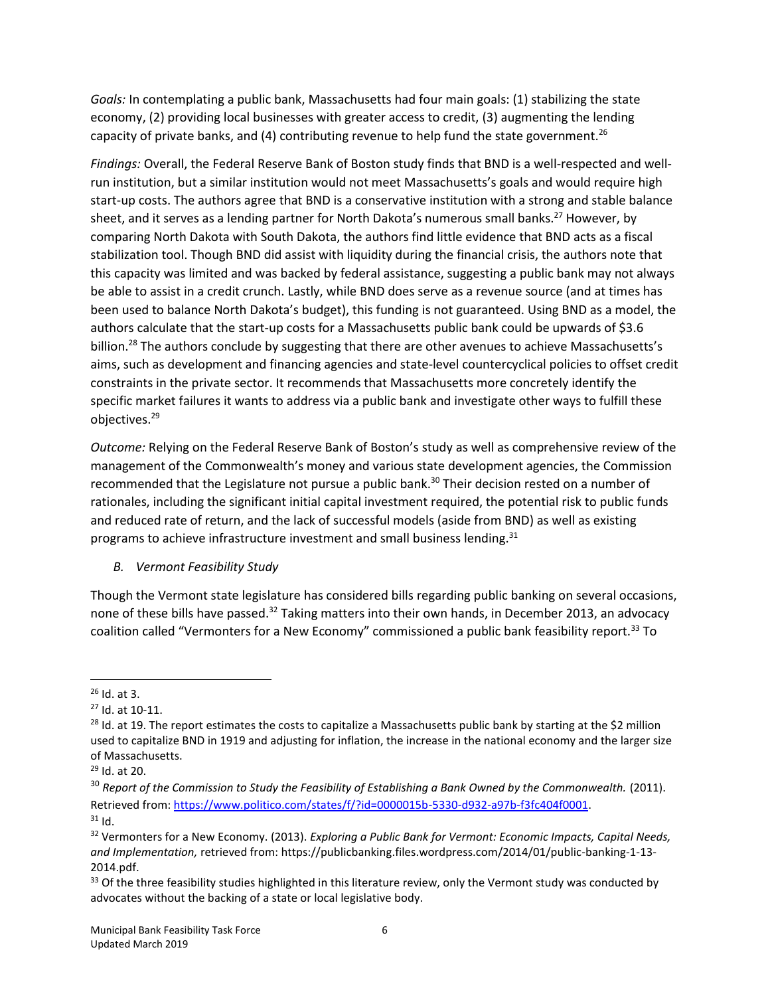*Goals:* In contemplating a public bank, Massachusetts had four main goals: (1) stabilizing the state economy, (2) providing local businesses with greater access to credit, (3) augmenting the lending capacity of private banks, and (4) contributing revenue to help fund the state government.<sup>26</sup>

*Findings:* Overall, the Federal Reserve Bank of Boston study finds that BND is a well-respected and wellrun institution, but a similar institution would not meet Massachusetts's goals and would require high start-up costs. The authors agree that BND is a conservative institution with a strong and stable balance sheet, and it serves as a lending partner for North Dakota's numerous small banks.<sup>27</sup> However, by comparing North Dakota with South Dakota, the authors find little evidence that BND acts as a fiscal stabilization tool. Though BND did assist with liquidity during the financial crisis, the authors note that this capacity was limited and was backed by federal assistance, suggesting a public bank may not always be able to assist in a credit crunch. Lastly, while BND does serve as a revenue source (and at times has been used to balance North Dakota's budget), this funding is not guaranteed. Using BND as a model, the authors calculate that the start-up costs for a Massachusetts public bank could be upwards of \$3.6 billion.<sup>28</sup> The authors conclude by suggesting that there are other avenues to achieve Massachusetts's aims, such as development and financing agencies and state-level countercyclical policies to offset credit constraints in the private sector. It recommends that Massachusetts more concretely identify the specific market failures it wants to address via a public bank and investigate other ways to fulfill these objectives.<sup>29</sup>

*Outcome:* Relying on the Federal Reserve Bank of Boston's study as well as comprehensive review of the management of the Commonwealth's money and various state development agencies, the Commission recommended that the Legislature not pursue a public bank. <sup>30</sup> Their decision rested on a number of rationales, including the significant initial capital investment required, the potential risk to public funds and reduced rate of return, and the lack of successful models (aside from BND) as well as existing programs to achieve infrastructure investment and small business lending.<sup>31</sup>

#### *B. Vermont Feasibility Study*

Though the Vermont state legislature has considered bills regarding public banking on several occasions, none of these bills have passed.<sup>32</sup> Taking matters into their own hands, in December 2013, an advocacy coalition called "Vermonters for a New Economy" commissioned a public bank feasibility report.<sup>33</sup> To

 $26$  Id. at 3.

<sup>27</sup> Id. at 10-11.

<sup>&</sup>lt;sup>28</sup> Id. at 19. The report estimates the costs to capitalize a Massachusetts public bank by starting at the \$2 million used to capitalize BND in 1919 and adjusting for inflation, the increase in the national economy and the larger size of Massachusetts.

<sup>29</sup> Id. at 20.

<sup>&</sup>lt;sup>30</sup> Report of the Commission to Study the Feasibility of Establishing a Bank Owned by the Commonwealth. (2011). Retrieved from: [https://www.politico.com/states/f/?id=0000015b-5330-d932-a97b-f3fc404f0001.](https://www.politico.com/states/f/?id=0000015b-5330-d932-a97b-f3fc404f0001)  $31$  Id.

<sup>32</sup> Vermonters for a New Economy. (2013). *Exploring a Public Bank for Vermont: Economic Impacts, Capital Needs, and Implementation,* retrieved from: https://publicbanking.files.wordpress.com/2014/01/public-banking-1-13- 2014.pdf.

 $33$  Of the three feasibility studies highlighted in this literature review, only the Vermont study was conducted by advocates without the backing of a state or local legislative body.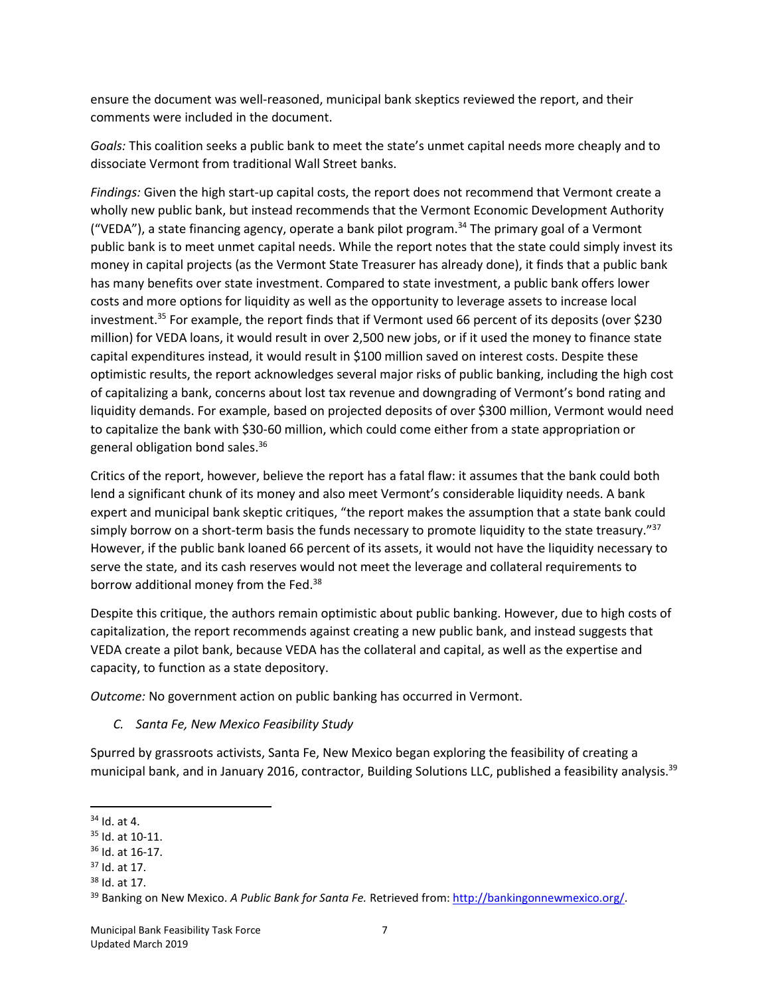ensure the document was well-reasoned, municipal bank skeptics reviewed the report, and their comments were included in the document.

*Goals:* This coalition seeks a public bank to meet the state's unmet capital needs more cheaply and to dissociate Vermont from traditional Wall Street banks.

*Findings:* Given the high start-up capital costs, the report does not recommend that Vermont create a wholly new public bank, but instead recommends that the Vermont Economic Development Authority ("VEDA"), a state financing agency, operate a bank pilot program.<sup>34</sup> The primary goal of a Vermont public bank is to meet unmet capital needs. While the report notes that the state could simply invest its money in capital projects (as the Vermont State Treasurer has already done), it finds that a public bank has many benefits over state investment. Compared to state investment, a public bank offers lower costs and more options for liquidity as well as the opportunity to leverage assets to increase local investment.<sup>35</sup> For example, the report finds that if Vermont used 66 percent of its deposits (over \$230 million) for VEDA loans, it would result in over 2,500 new jobs, or if it used the money to finance state capital expenditures instead, it would result in \$100 million saved on interest costs. Despite these optimistic results, the report acknowledges several major risks of public banking, including the high cost of capitalizing a bank, concerns about lost tax revenue and downgrading of Vermont's bond rating and liquidity demands. For example, based on projected deposits of over \$300 million, Vermont would need to capitalize the bank with \$30-60 million, which could come either from a state appropriation or general obligation bond sales.<sup>36</sup>

Critics of the report, however, believe the report has a fatal flaw: it assumes that the bank could both lend a significant chunk of its money and also meet Vermont's considerable liquidity needs. A bank expert and municipal bank skeptic critiques, "the report makes the assumption that a state bank could simply borrow on a short-term basis the funds necessary to promote liquidity to the state treasury."<sup>37</sup> However, if the public bank loaned 66 percent of its assets, it would not have the liquidity necessary to serve the state, and its cash reserves would not meet the leverage and collateral requirements to borrow additional money from the Fed.<sup>38</sup>

Despite this critique, the authors remain optimistic about public banking. However, due to high costs of capitalization, the report recommends against creating a new public bank, and instead suggests that VEDA create a pilot bank, because VEDA has the collateral and capital, as well as the expertise and capacity, to function as a state depository.

*Outcome:* No government action on public banking has occurred in Vermont.

*C. Santa Fe, New Mexico Feasibility Study*

Spurred by grassroots activists, Santa Fe, New Mexico began exploring the feasibility of creating a municipal bank, and in January 2016, contractor, Building Solutions LLC, published a feasibility analysis.<sup>39</sup>

l  $34$  Id. at 4.

<sup>35</sup> Id. at 10-11.

<sup>36</sup> Id. at 16-17.

<sup>37</sup> Id. at 17.

<sup>38</sup> Id. at 17.

<sup>&</sup>lt;sup>39</sup> Banking on New Mexico. *A Public Bank for Santa Fe.* Retrieved from: [http://bankingonnewmexico.org/.](http://bankingonnewmexico.org/)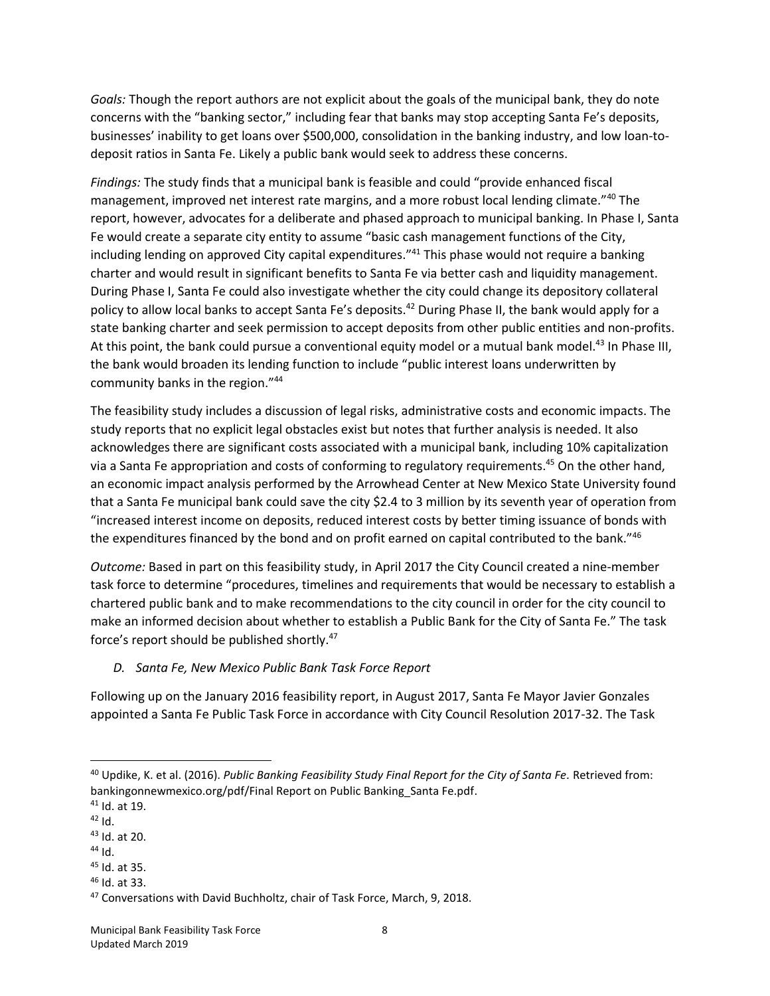*Goals:* Though the report authors are not explicit about the goals of the municipal bank, they do note concerns with the "banking sector," including fear that banks may stop accepting Santa Fe's deposits, businesses' inability to get loans over \$500,000, consolidation in the banking industry, and low loan-todeposit ratios in Santa Fe. Likely a public bank would seek to address these concerns.

*Findings:* The study finds that a municipal bank is feasible and could "provide enhanced fiscal management, improved net interest rate margins, and a more robust local lending climate."<sup>40</sup> The report, however, advocates for a deliberate and phased approach to municipal banking. In Phase I, Santa Fe would create a separate city entity to assume "basic cash management functions of the City, including lending on approved City capital expenditures."<sup>41</sup> This phase would not require a banking charter and would result in significant benefits to Santa Fe via better cash and liquidity management. During Phase I, Santa Fe could also investigate whether the city could change its depository collateral policy to allow local banks to accept Santa Fe's deposits.<sup>42</sup> During Phase II, the bank would apply for a state banking charter and seek permission to accept deposits from other public entities and non-profits. At this point, the bank could pursue a conventional equity model or a mutual bank model.<sup>43</sup> In Phase III, the bank would broaden its lending function to include "public interest loans underwritten by community banks in the region."<sup>44</sup>

The feasibility study includes a discussion of legal risks, administrative costs and economic impacts. The study reports that no explicit legal obstacles exist but notes that further analysis is needed. It also acknowledges there are significant costs associated with a municipal bank, including 10% capitalization via a Santa Fe appropriation and costs of conforming to regulatory requirements. <sup>45</sup> On the other hand, an economic impact analysis performed by the Arrowhead Center at New Mexico State University found that a Santa Fe municipal bank could save the city \$2.4 to 3 million by its seventh year of operation from "increased interest income on deposits, reduced interest costs by better timing issuance of bonds with the expenditures financed by the bond and on profit earned on capital contributed to the bank."46

*Outcome:* Based in part on this feasibility study, in April 2017 the City Council created a nine-member task force to determine "procedures, timelines and requirements that would be necessary to establish a chartered public bank and to make recommendations to the city council in order for the city council to make an informed decision about whether to establish a Public Bank for the City of Santa Fe." The task force's report should be published shortly.<sup>47</sup>

*D. Santa Fe, New Mexico Public Bank Task Force Report* 

Following up on the January 2016 feasibility report, in August 2017, Santa Fe Mayor Javier Gonzales appointed a Santa Fe Public Task Force in accordance with City Council Resolution 2017-32. The Task

 $\overline{\phantom{a}}$ 

<sup>46</sup> Id. at 33.

<sup>40</sup> Updike, K. et al. (2016). *Public Banking Feasibility Study Final Report for the City of Santa Fe.* Retrieved from: bankingonnewmexico.org/pdf/Final Report on Public Banking\_Santa Fe.pdf.

<sup>41</sup> Id. at 19.

 $42$  Id.

<sup>43</sup> Id. at 20.

 $44$  Id.

<sup>45</sup> Id. at 35.

<sup>47</sup> Conversations with David Buchholtz, chair of Task Force, March, 9, 2018.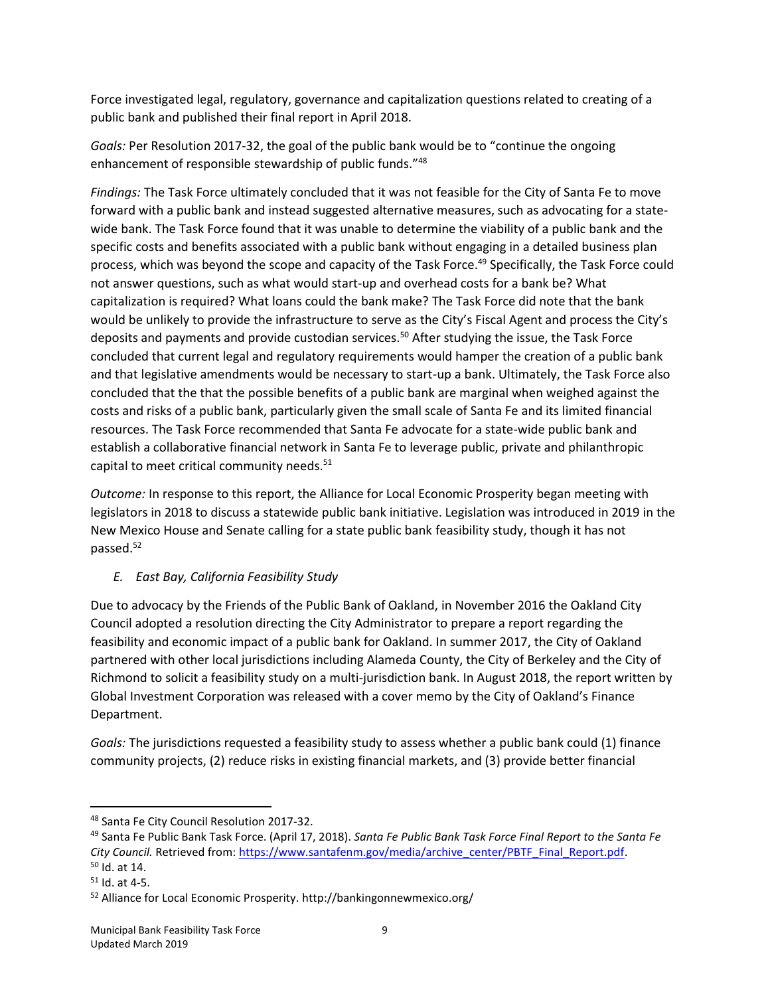Force investigated legal, regulatory, governance and capitalization questions related to creating of a public bank and published their final report in April 2018.

*Goals:* Per Resolution 2017-32, the goal of the public bank would be to "continue the ongoing enhancement of responsible stewardship of public funds."<sup>48</sup>

*Findings:* The Task Force ultimately concluded that it was not feasible for the City of Santa Fe to move forward with a public bank and instead suggested alternative measures, such as advocating for a statewide bank. The Task Force found that it was unable to determine the viability of a public bank and the specific costs and benefits associated with a public bank without engaging in a detailed business plan process, which was beyond the scope and capacity of the Task Force.<sup>49</sup> Specifically, the Task Force could not answer questions, such as what would start-up and overhead costs for a bank be? What capitalization is required? What loans could the bank make? The Task Force did note that the bank would be unlikely to provide the infrastructure to serve as the City's Fiscal Agent and process the City's deposits and payments and provide custodian services.<sup>50</sup> After studying the issue, the Task Force concluded that current legal and regulatory requirements would hamper the creation of a public bank and that legislative amendments would be necessary to start-up a bank. Ultimately, the Task Force also concluded that the that the possible benefits of a public bank are marginal when weighed against the costs and risks of a public bank, particularly given the small scale of Santa Fe and its limited financial resources. The Task Force recommended that Santa Fe advocate for a state-wide public bank and establish a collaborative financial network in Santa Fe to leverage public, private and philanthropic capital to meet critical community needs.<sup>51</sup>

*Outcome:* In response to this report, the Alliance for Local Economic Prosperity began meeting with legislators in 2018 to discuss a statewide public bank initiative. Legislation was introduced in 2019 in the New Mexico House and Senate calling for a state public bank feasibility study, though it has not passed.<sup>52</sup>

## *E. East Bay, California Feasibility Study*

Due to advocacy by the Friends of the Public Bank of Oakland, in November 2016 the Oakland City Council adopted a resolution directing the City Administrator to prepare a report regarding the feasibility and economic impact of a public bank for Oakland. In summer 2017, the City of Oakland partnered with other local jurisdictions including Alameda County, the City of Berkeley and the City of Richmond to solicit a feasibility study on a multi-jurisdiction bank. In August 2018, the report written by Global Investment Corporation was released with a cover memo by the City of Oakland's Finance Department.

*Goals:* The jurisdictions requested a feasibility study to assess whether a public bank could (1) finance community projects, (2) reduce risks in existing financial markets, and (3) provide better financial

l <sup>48</sup> Santa Fe City Council Resolution 2017-32.

<sup>49</sup> Santa Fe Public Bank Task Force. (April 17, 2018). *Santa Fe Public Bank Task Force Final Report to the Santa Fe* City Council. Retrieved from: [https://www.santafenm.gov/media/archive\\_center/PBTF\\_Final\\_Report.pdf.](https://www.santafenm.gov/media/archive_center/PBTF_Final_Report.pdf)  $50$  Id. at 14.

 $51$  Id. at 4-5.

<sup>52</sup> Alliance for Local Economic Prosperity. http://bankingonnewmexico.org/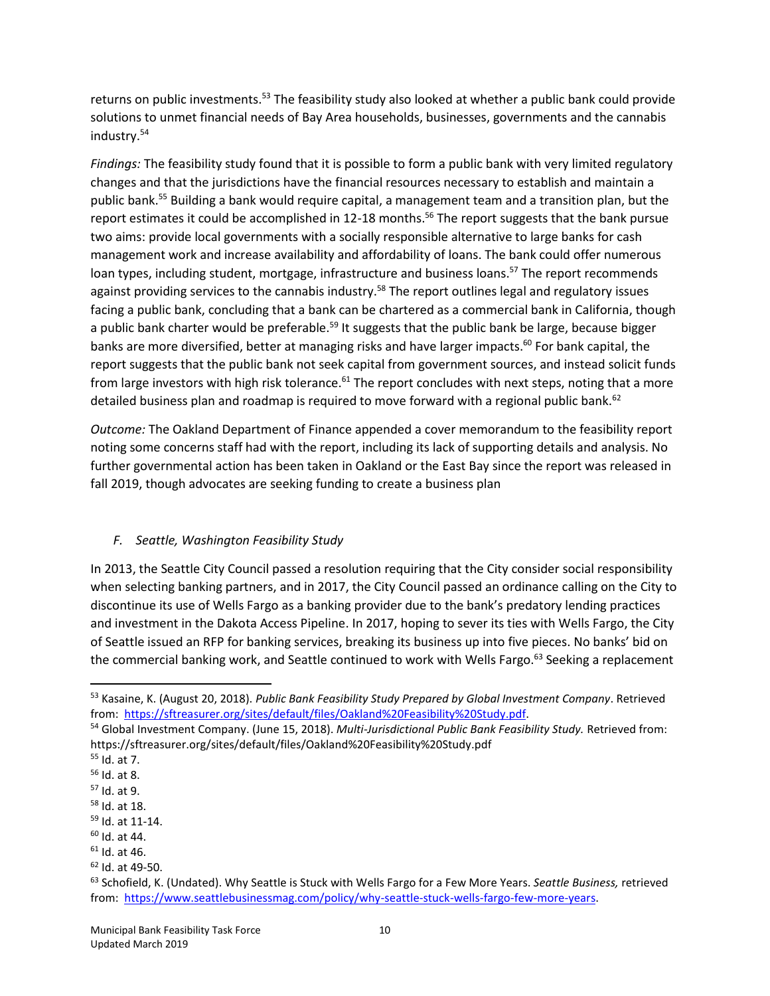returns on public investments.<sup>53</sup> The feasibility study also looked at whether a public bank could provide solutions to unmet financial needs of Bay Area households, businesses, governments and the cannabis industry.<sup>54</sup>

*Findings:* The feasibility study found that it is possible to form a public bank with very limited regulatory changes and that the jurisdictions have the financial resources necessary to establish and maintain a public bank.<sup>55</sup> Building a bank would require capital, a management team and a transition plan, but the report estimates it could be accomplished in 12-18 months.<sup>56</sup> The report suggests that the bank pursue two aims: provide local governments with a socially responsible alternative to large banks for cash management work and increase availability and affordability of loans. The bank could offer numerous loan types, including student, mortgage, infrastructure and business loans.<sup>57</sup> The report recommends against providing services to the cannabis industry.<sup>58</sup> The report outlines legal and regulatory issues facing a public bank, concluding that a bank can be chartered as a commercial bank in California, though a public bank charter would be preferable.<sup>59</sup> It suggests that the public bank be large, because bigger banks are more diversified, better at managing risks and have larger impacts.<sup>60</sup> For bank capital, the report suggests that the public bank not seek capital from government sources, and instead solicit funds from large investors with high risk tolerance.<sup>61</sup> The report concludes with next steps, noting that a more detailed business plan and roadmap is required to move forward with a regional public bank.<sup>62</sup>

*Outcome:* The Oakland Department of Finance appended a cover memorandum to the feasibility report noting some concerns staff had with the report, including its lack of supporting details and analysis. No further governmental action has been taken in Oakland or the East Bay since the report was released in fall 2019, though advocates are seeking funding to create a business plan

#### *F. Seattle, Washington Feasibility Study*

In 2013, the Seattle City Council passed a resolution requiring that the City consider social responsibility when selecting banking partners, and in 2017, the City Council passed an ordinance calling on the City to discontinue its use of Wells Fargo as a banking provider due to the bank's predatory lending practices and investment in the Dakota Access Pipeline. In 2017, hoping to sever its ties with Wells Fargo, the City of Seattle issued an RFP for banking services, breaking its business up into five pieces. No banks' bid on the commercial banking work, and Seattle continued to work with Wells Fargo.<sup>63</sup> Seeking a replacement

<sup>53</sup> Kasaine, K. (August 20, 2018). *Public Bank Feasibility Study Prepared by Global Investment Company*. Retrieved from: [https://sftreasurer.org/sites/default/files/Oakland%20Feasibility%20Study.pdf.](https://sftreasurer.org/sites/default/files/Oakland%20Feasibility%20Study.pdf) 

<sup>54</sup> Global Investment Company. (June 15, 2018). *Multi-Jurisdictional Public Bank Feasibility Study.* Retrieved from: https://sftreasurer.org/sites/default/files/Oakland%20Feasibility%20Study.pdf

<sup>55</sup> Id. at 7.

<sup>56</sup> Id. at 8.

<sup>57</sup> Id. at 9.

<sup>58</sup> Id. at 18.

<sup>59</sup> Id. at 11-14.

 $60$  Id. at 44.

 $61$  Id. at 46.

<sup>62</sup> Id. at 49-50.

<sup>63</sup> Schofield, K. (Undated). Why Seattle is Stuck with Wells Fargo for a Few More Years. *Seattle Business,* retrieved from: [https://www.seattlebusinessmag.com/policy/why-seattle-stuck-wells-fargo-few-more-years.](https://www.seattlebusinessmag.com/policy/why-seattle-stuck-wells-fargo-few-more-years)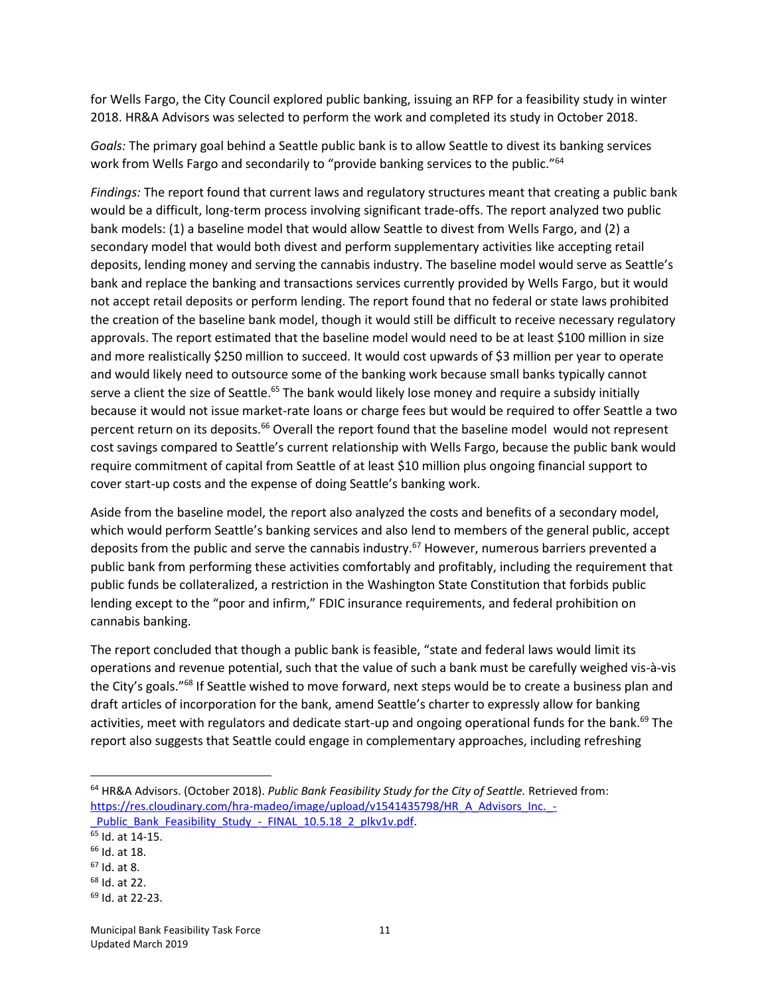for Wells Fargo, the City Council explored public banking, issuing an RFP for a feasibility study in winter 2018. HR&A Advisors was selected to perform the work and completed its study in October 2018.

*Goals:* The primary goal behind a Seattle public bank is to allow Seattle to divest its banking services work from Wells Fargo and secondarily to "provide banking services to the public."<sup>64</sup>

*Findings:* The report found that current laws and regulatory structures meant that creating a public bank would be a difficult, long-term process involving significant trade-offs. The report analyzed two public bank models: (1) a baseline model that would allow Seattle to divest from Wells Fargo, and (2) a secondary model that would both divest and perform supplementary activities like accepting retail deposits, lending money and serving the cannabis industry. The baseline model would serve as Seattle's bank and replace the banking and transactions services currently provided by Wells Fargo, but it would not accept retail deposits or perform lending. The report found that no federal or state laws prohibited the creation of the baseline bank model, though it would still be difficult to receive necessary regulatory approvals. The report estimated that the baseline model would need to be at least \$100 million in size and more realistically \$250 million to succeed. It would cost upwards of \$3 million per year to operate and would likely need to outsource some of the banking work because small banks typically cannot serve a client the size of Seattle.<sup>65</sup> The bank would likely lose money and require a subsidy initially because it would not issue market-rate loans or charge fees but would be required to offer Seattle a two percent return on its deposits.<sup>66</sup> Overall the report found that the baseline model would not represent cost savings compared to Seattle's current relationship with Wells Fargo, because the public bank would require commitment of capital from Seattle of at least \$10 million plus ongoing financial support to cover start-up costs and the expense of doing Seattle's banking work.

Aside from the baseline model, the report also analyzed the costs and benefits of a secondary model, which would perform Seattle's banking services and also lend to members of the general public, accept deposits from the public and serve the cannabis industry.<sup>67</sup> However, numerous barriers prevented a public bank from performing these activities comfortably and profitably, including the requirement that public funds be collateralized, a restriction in the Washington State Constitution that forbids public lending except to the "poor and infirm," FDIC insurance requirements, and federal prohibition on cannabis banking.

The report concluded that though a public bank is feasible, "state and federal laws would limit its operations and revenue potential, such that the value of such a bank must be carefully weighed vis-à-vis the City's goals."<sup>68</sup> If Seattle wished to move forward, next steps would be to create a business plan and draft articles of incorporation for the bank, amend Seattle's charter to expressly allow for banking activities, meet with regulators and dedicate start-up and ongoing operational funds for the bank.<sup>69</sup> The report also suggests that Seattle could engage in complementary approaches, including refreshing

<sup>64</sup> HR&A Advisors. (October 2018). *Public Bank Feasibility Study for the City of Seattle.* Retrieved from: [https://res.cloudinary.com/hra-madeo/image/upload/v1541435798/HR\\_A\\_Advisors\\_Inc.\\_-](https://res.cloudinary.com/hra-madeo/image/upload/v1541435798/HR_A_Advisors_Inc._-_Public_Bank_Feasibility_Study_-_FINAL_10.5.18_2_plkv1v.pdf) Public\_Bank\_Feasibility\_Study\_-\_FINAL\_10.5.18\_2\_plkv1v.pdf.

<sup>65</sup> Id. at 14-15.

<sup>66</sup> Id. at 18.

 $67$  Id. at 8.

<sup>68</sup> Id. at 22.

<sup>69</sup> Id. at 22-23.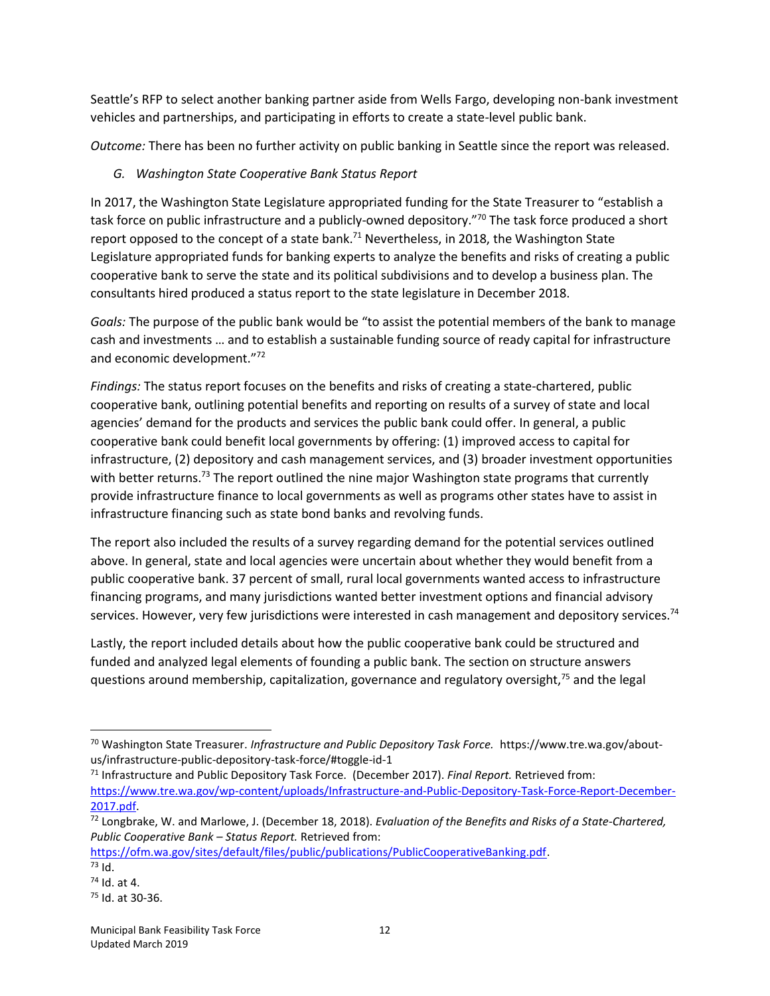Seattle's RFP to select another banking partner aside from Wells Fargo, developing non-bank investment vehicles and partnerships, and participating in efforts to create a state-level public bank.

*Outcome:* There has been no further activity on public banking in Seattle since the report was released.

## *G. Washington State Cooperative Bank Status Report*

In 2017, the Washington State Legislature appropriated funding for the State Treasurer to "establish a task force on public infrastructure and a publicly-owned depository."<sup>70</sup> The task force produced a short report opposed to the concept of a state bank.<sup>71</sup> Nevertheless, in 2018, the Washington State Legislature appropriated funds for banking experts to analyze the benefits and risks of creating a public cooperative bank to serve the state and its political subdivisions and to develop a business plan. The consultants hired produced a status report to the state legislature in December 2018.

*Goals:* The purpose of the public bank would be "to assist the potential members of the bank to manage cash and investments … and to establish a sustainable funding source of ready capital for infrastructure and economic development."<sup>72</sup>

*Findings:* The status report focuses on the benefits and risks of creating a state-chartered, public cooperative bank, outlining potential benefits and reporting on results of a survey of state and local agencies' demand for the products and services the public bank could offer. In general, a public cooperative bank could benefit local governments by offering: (1) improved access to capital for infrastructure, (2) depository and cash management services, and (3) broader investment opportunities with better returns.<sup>73</sup> The report outlined the nine major Washington state programs that currently provide infrastructure finance to local governments as well as programs other states have to assist in infrastructure financing such as state bond banks and revolving funds.

The report also included the results of a survey regarding demand for the potential services outlined above. In general, state and local agencies were uncertain about whether they would benefit from a public cooperative bank. 37 percent of small, rural local governments wanted access to infrastructure financing programs, and many jurisdictions wanted better investment options and financial advisory services. However, very few jurisdictions were interested in cash management and depository services.<sup>74</sup>

Lastly, the report included details about how the public cooperative bank could be structured and funded and analyzed legal elements of founding a public bank. The section on structure answers questions around membership, capitalization, governance and regulatory oversight, $75$  and the legal

<sup>70</sup> Washington State Treasurer. *Infrastructure and Public Depository Task Force.* https://www.tre.wa.gov/aboutus/infrastructure-public-depository-task-force/#toggle-id-1

<sup>71</sup> Infrastructure and Public Depository Task Force. (December 2017). *Final Report.* Retrieved from: [https://www.tre.wa.gov/wp-content/uploads/Infrastructure-and-Public-Depository-Task-Force-Report-December-](https://www.tre.wa.gov/wp-content/uploads/Infrastructure-and-Public-Depository-Task-Force-Report-December-2017.pdf)[2017.pdf.](https://www.tre.wa.gov/wp-content/uploads/Infrastructure-and-Public-Depository-Task-Force-Report-December-2017.pdf) 

<sup>72</sup> Longbrake, W. and Marlowe, J. (December 18, 2018). *Evaluation of the Benefits and Risks of a State-Chartered, Public Cooperative Bank – Status Report.* Retrieved from:

[https://ofm.wa.gov/sites/default/files/public/publications/PublicCooperativeBanking.pdf.](https://ofm.wa.gov/sites/default/files/public/publications/PublicCooperativeBanking.pdf)  $73$  Id.

<sup>74</sup> Id. at 4.

<sup>75</sup> Id. at 30-36.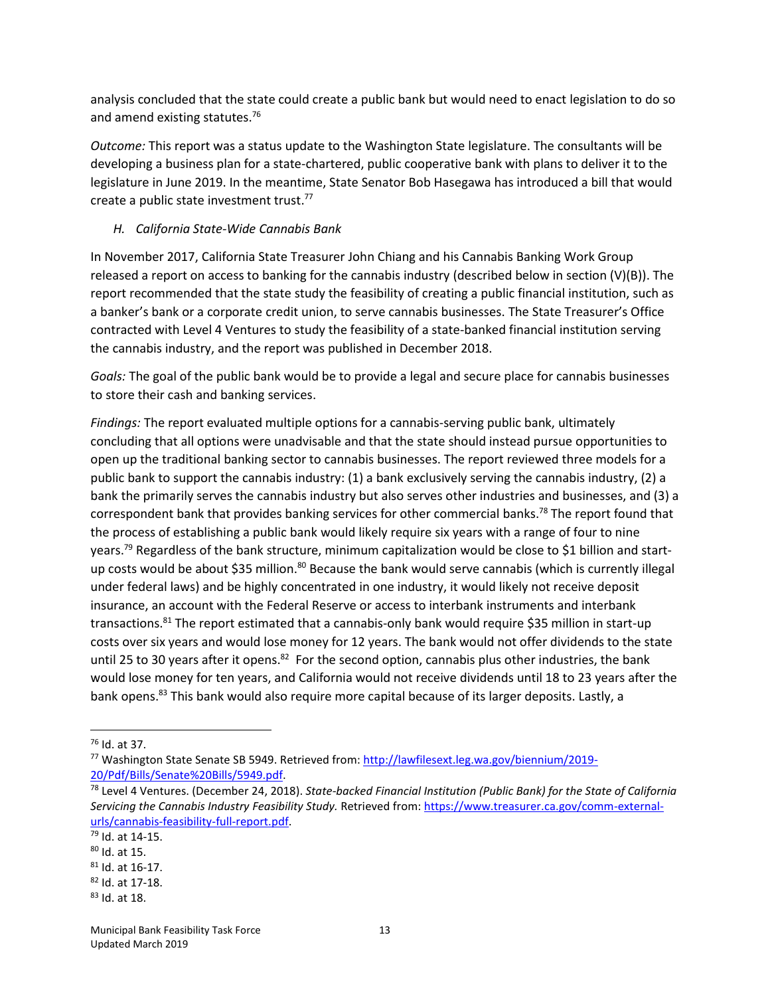analysis concluded that the state could create a public bank but would need to enact legislation to do so and amend existing statutes.<sup>76</sup>

*Outcome:* This report was a status update to the Washington State legislature. The consultants will be developing a business plan for a state-chartered, public cooperative bank with plans to deliver it to the legislature in June 2019. In the meantime, State Senator Bob Hasegawa has introduced a bill that would create a public state investment trust. 77

#### *H. California State-Wide Cannabis Bank*

In November 2017, California State Treasurer John Chiang and his Cannabis Banking Work Group released a report on access to banking for the cannabis industry (described below in section (V)(B)). The report recommended that the state study the feasibility of creating a public financial institution, such as a banker's bank or a corporate credit union, to serve cannabis businesses. The State Treasurer's Office contracted with Level 4 Ventures to study the feasibility of a state-banked financial institution serving the cannabis industry, and the report was published in December 2018.

*Goals:* The goal of the public bank would be to provide a legal and secure place for cannabis businesses to store their cash and banking services.

*Findings:* The report evaluated multiple options for a cannabis-serving public bank, ultimately concluding that all options were unadvisable and that the state should instead pursue opportunities to open up the traditional banking sector to cannabis businesses. The report reviewed three models for a public bank to support the cannabis industry: (1) a bank exclusively serving the cannabis industry, (2) a bank the primarily serves the cannabis industry but also serves other industries and businesses, and (3) a correspondent bank that provides banking services for other commercial banks.<sup>78</sup> The report found that the process of establishing a public bank would likely require six years with a range of four to nine years.<sup>79</sup> Regardless of the bank structure, minimum capitalization would be close to \$1 billion and startup costs would be about \$35 million.<sup>80</sup> Because the bank would serve cannabis (which is currently illegal under federal laws) and be highly concentrated in one industry, it would likely not receive deposit insurance, an account with the Federal Reserve or access to interbank instruments and interbank transactions.<sup>81</sup> The report estimated that a cannabis-only bank would require \$35 million in start-up costs over six years and would lose money for 12 years. The bank would not offer dividends to the state until 25 to 30 years after it opens.<sup>82</sup> For the second option, cannabis plus other industries, the bank would lose money for ten years, and California would not receive dividends until 18 to 23 years after the bank opens.<sup>83</sup> This bank would also require more capital because of its larger deposits. Lastly, a

<sup>82</sup> Id. at 17-18.

 $\overline{\phantom{a}}$ <sup>76</sup> Id. at 37.

<sup>77</sup> Washington State Senate SB 5949. Retrieved from: [http://lawfilesext.leg.wa.gov/biennium/2019-](http://lawfilesext.leg.wa.gov/biennium/2019-20/Pdf/Bills/Senate%20Bills/5949.pdf) [20/Pdf/Bills/Senate%20Bills/5949.pdf.](http://lawfilesext.leg.wa.gov/biennium/2019-20/Pdf/Bills/Senate%20Bills/5949.pdf)

<sup>78</sup> Level 4 Ventures. (December 24, 2018). *State-backed Financial Institution (Public Bank) for the State of California Servicing the Cannabis Industry Feasibility Study.* Retrieved from: [https://www.treasurer.ca.gov/comm-external](https://www.treasurer.ca.gov/comm-external-urls/cannabis-feasibility-full-report.pdf)[urls/cannabis-feasibility-full-report.pdf.](https://www.treasurer.ca.gov/comm-external-urls/cannabis-feasibility-full-report.pdf)

<sup>79</sup> Id. at 14-15.

<sup>80</sup> Id. at 15.

 $81$  Id. at 16-17.

<sup>83</sup> Id. at 18.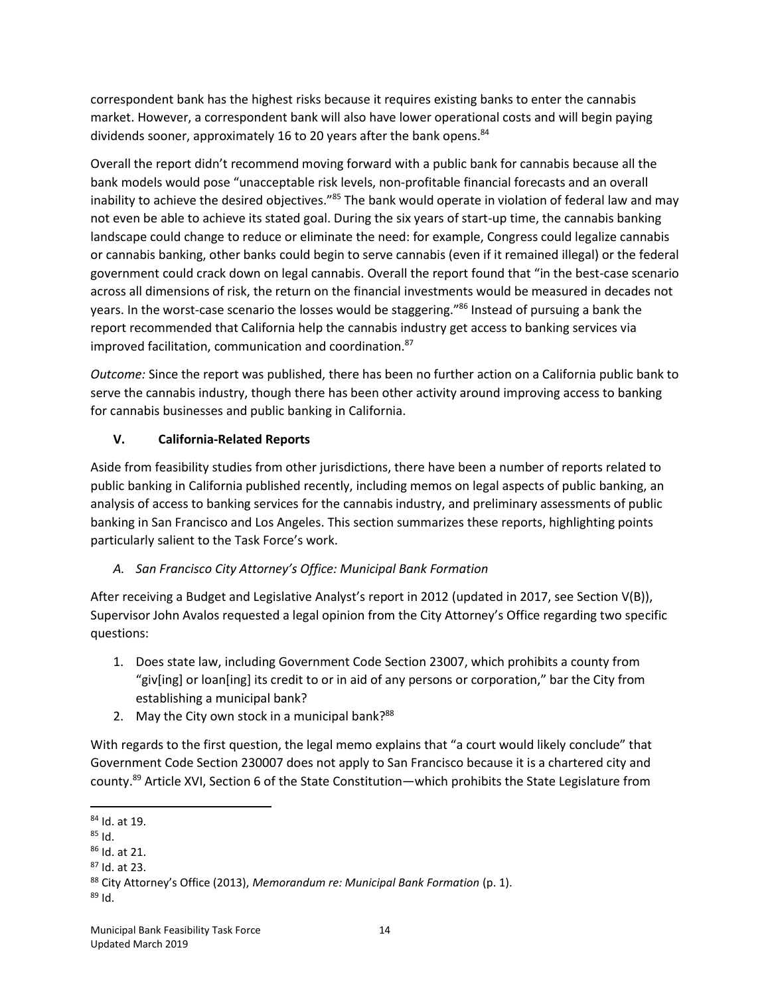correspondent bank has the highest risks because it requires existing banks to enter the cannabis market. However, a correspondent bank will also have lower operational costs and will begin paying dividends sooner, approximately 16 to 20 years after the bank opens.<sup>84</sup>

Overall the report didn't recommend moving forward with a public bank for cannabis because all the bank models would pose "unacceptable risk levels, non-profitable financial forecasts and an overall inability to achieve the desired objectives."<sup>85</sup> The bank would operate in violation of federal law and may not even be able to achieve its stated goal. During the six years of start-up time, the cannabis banking landscape could change to reduce or eliminate the need: for example, Congress could legalize cannabis or cannabis banking, other banks could begin to serve cannabis (even if it remained illegal) or the federal government could crack down on legal cannabis. Overall the report found that "in the best-case scenario across all dimensions of risk, the return on the financial investments would be measured in decades not years. In the worst-case scenario the losses would be staggering." <sup>86</sup> Instead of pursuing a bank the report recommended that California help the cannabis industry get access to banking services via improved facilitation, communication and coordination.<sup>87</sup>

*Outcome:* Since the report was published, there has been no further action on a California public bank to serve the cannabis industry, though there has been other activity around improving access to banking for cannabis businesses and public banking in California.

## **V. California-Related Reports**

Aside from feasibility studies from other jurisdictions, there have been a number of reports related to public banking in California published recently, including memos on legal aspects of public banking, an analysis of access to banking services for the cannabis industry, and preliminary assessments of public banking in San Francisco and Los Angeles. This section summarizes these reports, highlighting points particularly salient to the Task Force's work.

# *A. San Francisco City Attorney's Office: Municipal Bank Formation*

After receiving a Budget and Legislative Analyst's report in 2012 (updated in 2017, see Section V(B)), Supervisor John Avalos requested a legal opinion from the City Attorney's Office regarding two specific questions:

- 1. Does state law, including Government Code Section 23007, which prohibits a county from "giv[ing] or loan[ing] its credit to or in aid of any persons or corporation," bar the City from establishing a municipal bank?
- 2. May the City own stock in a municipal bank? $88$

With regards to the first question, the legal memo explains that "a court would likely conclude" that Government Code Section 230007 does not apply to San Francisco because it is a chartered city and county.<sup>89</sup> Article XVI, Section 6 of the State Constitution—which prohibits the State Legislature from

l <sup>84</sup> Id. at 19.

<sup>85</sup> Id.

<sup>86</sup> Id. at 21.

<sup>87</sup> Id. at 23.

<sup>88</sup> City Attorney's Office (2013), *Memorandum re: Municipal Bank Formation* (p. 1).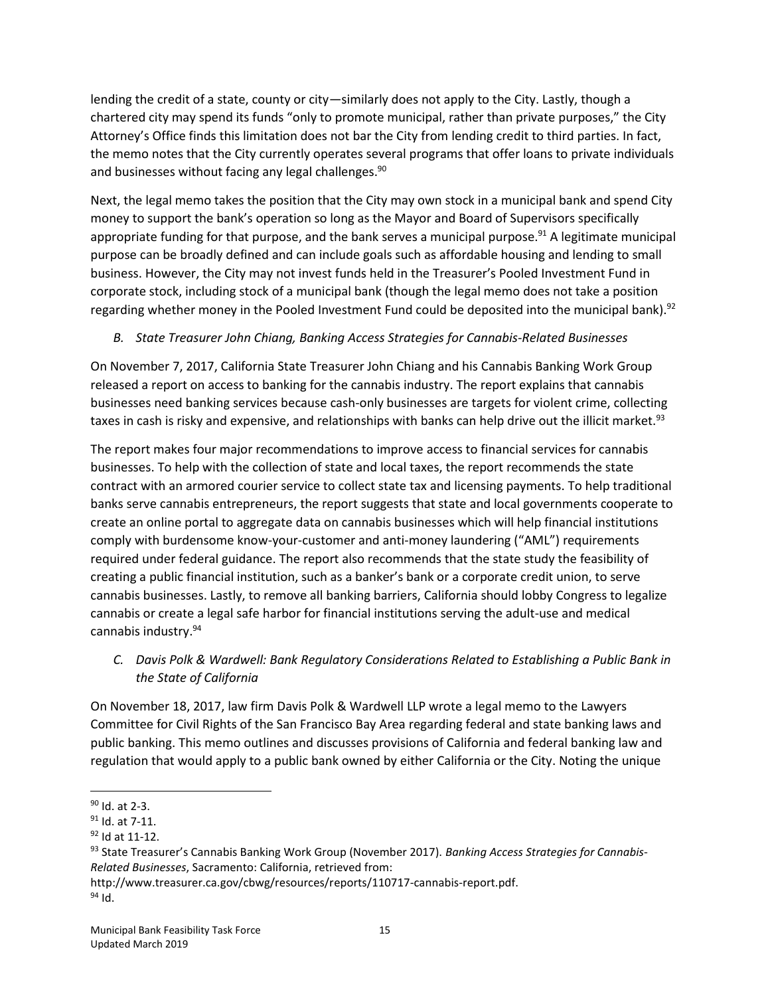lending the credit of a state, county or city—similarly does not apply to the City. Lastly, though a chartered city may spend its funds "only to promote municipal, rather than private purposes," the City Attorney's Office finds this limitation does not bar the City from lending credit to third parties. In fact, the memo notes that the City currently operates several programs that offer loans to private individuals and businesses without facing any legal challenges.<sup>90</sup>

Next, the legal memo takes the position that the City may own stock in a municipal bank and spend City money to support the bank's operation so long as the Mayor and Board of Supervisors specifically appropriate funding for that purpose, and the bank serves a municipal purpose.<sup>91</sup> A legitimate municipal purpose can be broadly defined and can include goals such as affordable housing and lending to small business. However, the City may not invest funds held in the Treasurer's Pooled Investment Fund in corporate stock, including stock of a municipal bank (though the legal memo does not take a position regarding whether money in the Pooled Investment Fund could be deposited into the municipal bank).<sup>92</sup>

## *B. State Treasurer John Chiang, Banking Access Strategies for Cannabis-Related Businesses*

On November 7, 2017, California State Treasurer John Chiang and his Cannabis Banking Work Group released a report on access to banking for the cannabis industry. The report explains that cannabis businesses need banking services because cash-only businesses are targets for violent crime, collecting taxes in cash is risky and expensive, and relationships with banks can help drive out the illicit market.<sup>93</sup>

The report makes four major recommendations to improve access to financial services for cannabis businesses. To help with the collection of state and local taxes, the report recommends the state contract with an armored courier service to collect state tax and licensing payments. To help traditional banks serve cannabis entrepreneurs, the report suggests that state and local governments cooperate to create an online portal to aggregate data on cannabis businesses which will help financial institutions comply with burdensome know-your-customer and anti-money laundering ("AML") requirements required under federal guidance. The report also recommends that the state study the feasibility of creating a public financial institution, such as a banker's bank or a corporate credit union, to serve cannabis businesses. Lastly, to remove all banking barriers, California should lobby Congress to legalize cannabis or create a legal safe harbor for financial institutions serving the adult-use and medical cannabis industry.<sup>94</sup>

*C. Davis Polk & Wardwell: Bank Regulatory Considerations Related to Establishing a Public Bank in the State of California*

On November 18, 2017, law firm Davis Polk & Wardwell LLP wrote a legal memo to the Lawyers Committee for Civil Rights of the San Francisco Bay Area regarding federal and state banking laws and public banking. This memo outlines and discusses provisions of California and federal banking law and regulation that would apply to a public bank owned by either California or the City. Noting the unique

 $\overline{\phantom{a}}$ <sup>90</sup> Id. at 2-3.

 $91$  Id. at 7-11.

<sup>92</sup> Id at 11-12.

<sup>93</sup> State Treasurer's Cannabis Banking Work Group (November 2017). *Banking Access Strategies for Cannabis-Related Businesses*, Sacramento: California, retrieved from:

http://www.treasurer.ca.gov/cbwg/resources/reports/110717-cannabis-report.pdf.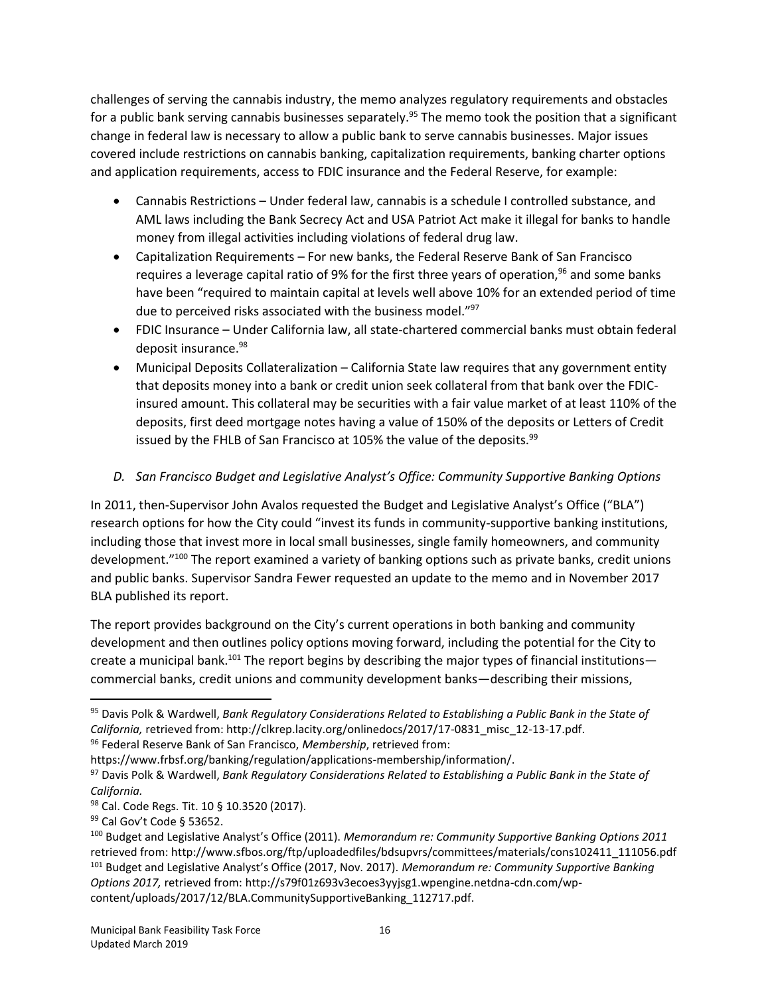challenges of serving the cannabis industry, the memo analyzes regulatory requirements and obstacles for a public bank serving cannabis businesses separately.<sup>95</sup> The memo took the position that a significant change in federal law is necessary to allow a public bank to serve cannabis businesses. Major issues covered include restrictions on cannabis banking, capitalization requirements, banking charter options and application requirements, access to FDIC insurance and the Federal Reserve, for example:

- Cannabis Restrictions Under federal law, cannabis is a schedule I controlled substance, and AML laws including the Bank Secrecy Act and USA Patriot Act make it illegal for banks to handle money from illegal activities including violations of federal drug law.
- Capitalization Requirements For new banks, the Federal Reserve Bank of San Francisco requires a leverage capital ratio of 9% for the first three years of operation,<sup>96</sup> and some banks have been "required to maintain capital at levels well above 10% for an extended period of time due to perceived risks associated with the business model."<sup>97</sup>
- FDIC Insurance Under California law, all state-chartered commercial banks must obtain federal deposit insurance.<sup>98</sup>
- Municipal Deposits Collateralization California State law requires that any government entity that deposits money into a bank or credit union seek collateral from that bank over the FDICinsured amount. This collateral may be securities with a fair value market of at least 110% of the deposits, first deed mortgage notes having a value of 150% of the deposits or Letters of Credit issued by the FHLB of San Francisco at 105% the value of the deposits.<sup>99</sup>

## *D. San Francisco Budget and Legislative Analyst's Office: Community Supportive Banking Options*

In 2011, then-Supervisor John Avalos requested the Budget and Legislative Analyst's Office ("BLA") research options for how the City could "invest its funds in community-supportive banking institutions, including those that invest more in local small businesses, single family homeowners, and community development."<sup>100</sup> The report examined a variety of banking options such as private banks, credit unions and public banks. Supervisor Sandra Fewer requested an update to the memo and in November 2017 BLA published its report.

The report provides background on the City's current operations in both banking and community development and then outlines policy options moving forward, including the potential for the City to create a municipal bank.<sup>101</sup> The report begins by describing the major types of financial institutions commercial banks, credit unions and community development banks—describing their missions,

https://www.frbsf.org/banking/regulation/applications-membership/information/.

<sup>95</sup> Davis Polk & Wardwell, *Bank Regulatory Considerations Related to Establishing a Public Bank in the State of California,* retrieved from: [http://clkrep.lacity.org/onlinedocs/2017/17-0831\\_misc\\_12-13-17.pdf.](http://clkrep.lacity.org/onlinedocs/2017/17-0831_misc_12-13-17.pdf) <sup>96</sup> Federal Reserve Bank of San Francisco, *Membership*, retrieved from:

<sup>97</sup> Davis Polk & Wardwell, *Bank Regulatory Considerations Related to Establishing a Public Bank in the State of California.*

<sup>98</sup> Cal. Code Regs. Tit. 10 § 10.3520 (2017).

<sup>99</sup> Cal Gov't Code § 53652.

<sup>100</sup> Budget and Legislative Analyst's Office (2011). *Memorandum re: Community Supportive Banking Options 2011*  retrieved from: http://www.sfbos.org/ftp/uploadedfiles/bdsupvrs/committees/materials/cons102411\_111056.pdf <sup>101</sup> Budget and Legislative Analyst's Office (2017, Nov. 2017). *Memorandum re: Community Supportive Banking Options 2017,* retrieved from: [http://s79f01z693v3ecoes3yyjsg1.wpengine.netdna-cdn.com/wp](http://s79f01z693v3ecoes3yyjsg1.wpengine.netdna-cdn.com/wp-content/uploads/2017/12/BLA.CommunitySupportiveBanking_112717.pdf)[content/uploads/2017/12/BLA.CommunitySupportiveBanking\\_112717.pdf.](http://s79f01z693v3ecoes3yyjsg1.wpengine.netdna-cdn.com/wp-content/uploads/2017/12/BLA.CommunitySupportiveBanking_112717.pdf)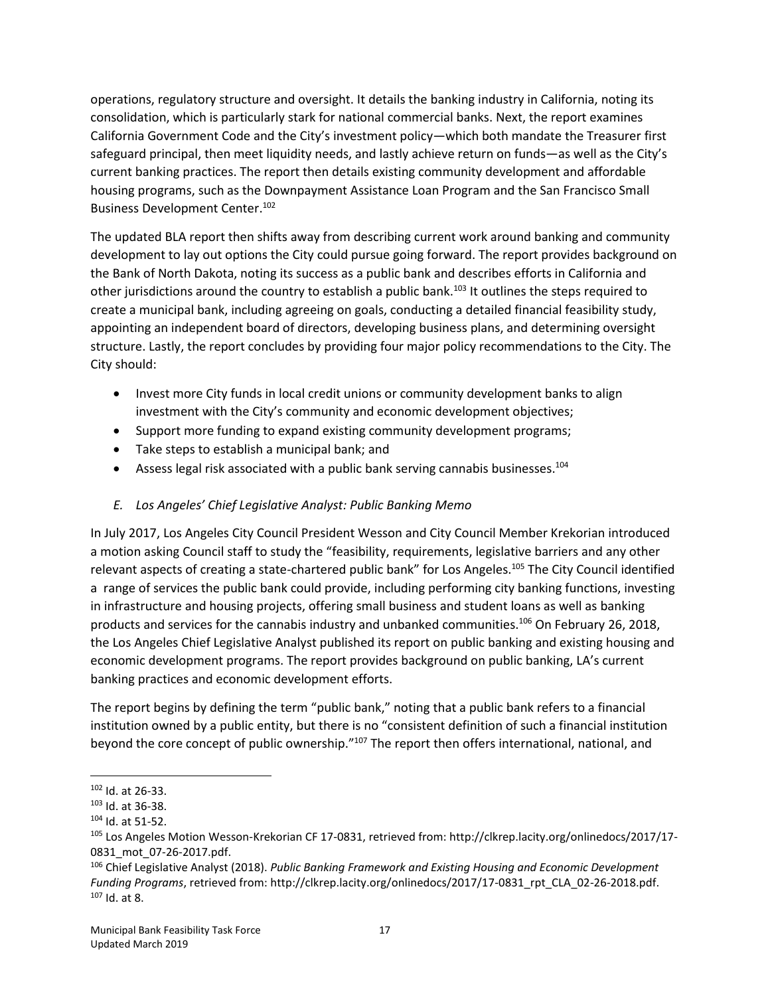operations, regulatory structure and oversight. It details the banking industry in California, noting its consolidation, which is particularly stark for national commercial banks. Next, the report examines California Government Code and the City's investment policy—which both mandate the Treasurer first safeguard principal, then meet liquidity needs, and lastly achieve return on funds—as well as the City's current banking practices. The report then details existing community development and affordable housing programs, such as the Downpayment Assistance Loan Program and the San Francisco Small Business Development Center. 102

The updated BLA report then shifts away from describing current work around banking and community development to lay out options the City could pursue going forward. The report provides background on the Bank of North Dakota, noting its success as a public bank and describes efforts in California and other jurisdictions around the country to establish a public bank.<sup>103</sup> It outlines the steps required to create a municipal bank, including agreeing on goals, conducting a detailed financial feasibility study, appointing an independent board of directors, developing business plans, and determining oversight structure. Lastly, the report concludes by providing four major policy recommendations to the City. The City should:

- Invest more City funds in local credit unions or community development banks to align investment with the City's community and economic development objectives;
- Support more funding to expand existing community development programs;
- Take steps to establish a municipal bank; and
- Assess legal risk associated with a public bank serving cannabis businesses.<sup>104</sup>

## *E. Los Angeles' Chief Legislative Analyst: Public Banking Memo*

In July 2017, Los Angeles City Council President Wesson and City Council Member Krekorian introduced a motion asking Council staff to study the "feasibility, requirements, legislative barriers and any other relevant aspects of creating a state-chartered public bank" for Los Angeles.<sup>105</sup> The City Council identified a range of services the public bank could provide, including performing city banking functions, investing in infrastructure and housing projects, offering small business and student loans as well as banking products and services for the cannabis industry and unbanked communities.<sup>106</sup> On February 26, 2018, the Los Angeles Chief Legislative Analyst published its report on public banking and existing housing and economic development programs. The report provides background on public banking, LA's current banking practices and economic development efforts.

The report begins by defining the term "public bank," noting that a public bank refers to a financial institution owned by a public entity, but there is no "consistent definition of such a financial institution beyond the core concept of public ownership."<sup>107</sup> The report then offers international, national, and

 $\overline{a}$ <sup>102</sup> Id. at 26-33.

<sup>103</sup> Id. at 36-38.

<sup>104</sup> Id. at 51-52.

<sup>105</sup> Los Angeles Motion Wesson-Krekorian CF 17-0831, retrieved from: [http://clkrep.lacity.org/onlinedocs/2017/17-](http://clkrep.lacity.org/onlinedocs/2017/17-0831_mot_07-26-2017.pdf) [0831\\_mot\\_07-26-2017.pdf.](http://clkrep.lacity.org/onlinedocs/2017/17-0831_mot_07-26-2017.pdf) 

<sup>106</sup> Chief Legislative Analyst (2018). *Public Banking Framework and Existing Housing and Economic Development Funding Programs*, retrieved from: [http://clkrep.lacity.org/onlinedocs/2017/17-0831\\_rpt\\_CLA\\_02-26-2018.pdf.](http://clkrep.lacity.org/onlinedocs/2017/17-0831_rpt_CLA_02-26-2018.pdf)  $107$  Id. at 8.